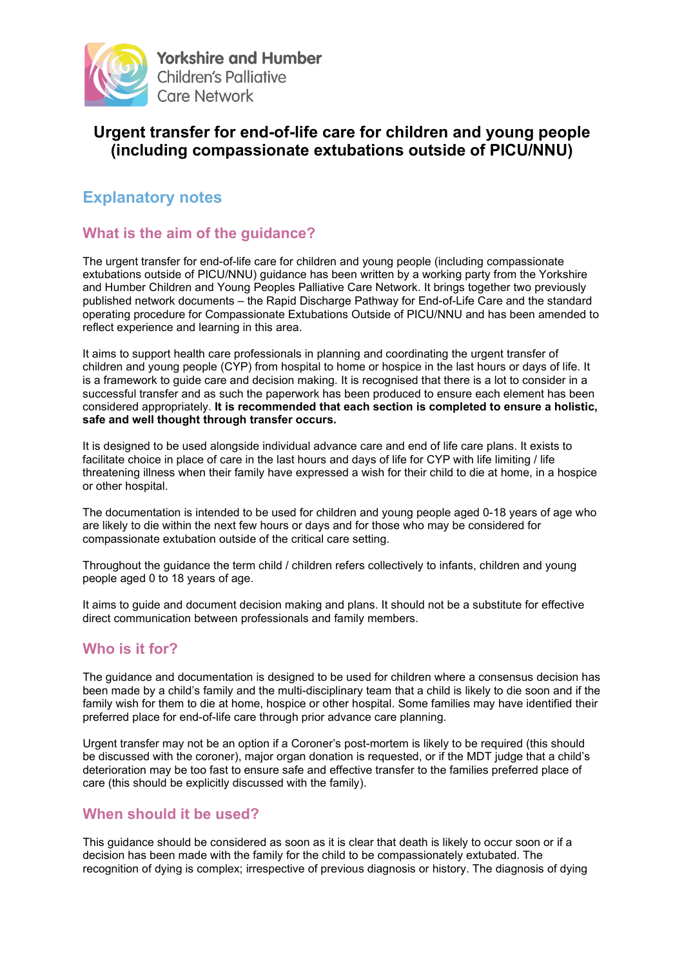

# **Urgent transfer for end-of-life care for children and young people (including compassionate extubations outside of PICU/NNU)**

# **Explanatory notes**

## **What is the aim of the guidance?**

The urgent transfer for end-of-life care for children and young people (including compassionate extubations outside of PICU/NNU) guidance has been written by a working party from the Yorkshire and Humber Children and Young Peoples Palliative Care Network. It brings together two previously published network documents – the Rapid Discharge Pathway for End-of-Life Care and the standard operating procedure for Compassionate Extubations Outside of PICU/NNU and has been amended to reflect experience and learning in this area.

It aims to support health care professionals in planning and coordinating the urgent transfer of children and young people (CYP) from hospital to home or hospice in the last hours or days of life. It is a framework to guide care and decision making. It is recognised that there is a lot to consider in a successful transfer and as such the paperwork has been produced to ensure each element has been considered appropriately. **It is recommended that each section is completed to ensure a holistic, safe and well thought through transfer occurs.** 

It is designed to be used alongside individual advance care and end of life care plans. It exists to facilitate choice in place of care in the last hours and days of life for CYP with life limiting / life threatening illness when their family have expressed a wish for their child to die at home, in a hospice or other hospital.

The documentation is intended to be used for children and young people aged 0-18 years of age who are likely to die within the next few hours or days and for those who may be considered for compassionate extubation outside of the critical care setting.

Throughout the guidance the term child / children refers collectively to infants, children and young people aged 0 to 18 years of age.

It aims to guide and document decision making and plans. It should not be a substitute for effective direct communication between professionals and family members.

### **Who is it for?**

The guidance and documentation is designed to be used for children where a consensus decision has been made by a child's family and the multi-disciplinary team that a child is likely to die soon and if the family wish for them to die at home, hospice or other hospital. Some families may have identified their preferred place for end-of-life care through prior advance care planning.

Urgent transfer may not be an option if a Coroner's post-mortem is likely to be required (this should be discussed with the coroner), major organ donation is requested, or if the MDT judge that a child's deterioration may be too fast to ensure safe and effective transfer to the families preferred place of care (this should be explicitly discussed with the family).

### **When should it be used?**

This guidance should be considered as soon as it is clear that death is likely to occur soon or if a decision has been made with the family for the child to be compassionately extubated. The recognition of dying is complex; irrespective of previous diagnosis or history. The diagnosis of dying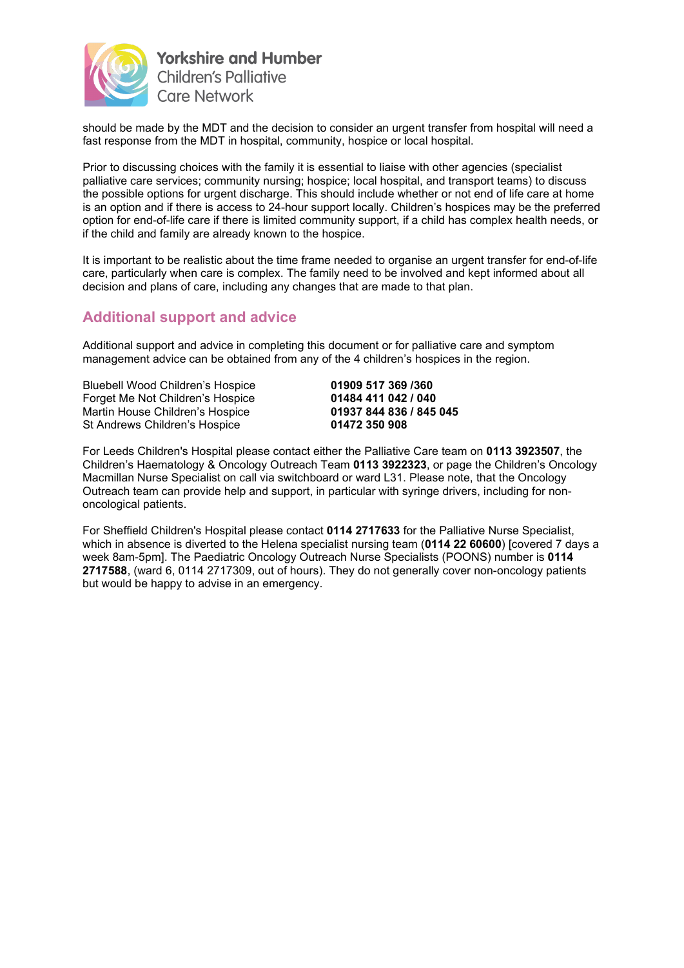

should be made by the MDT and the decision to consider an urgent transfer from hospital will need a fast response from the MDT in hospital, community, hospice or local hospital.

Prior to discussing choices with the family it is essential to liaise with other agencies (specialist palliative care services; community nursing; hospice; local hospital, and transport teams) to discuss the possible options for urgent discharge. This should include whether or not end of life care at home is an option and if there is access to 24-hour support locally. Children's hospices may be the preferred option for end-of-life care if there is limited community support, if a child has complex health needs, or if the child and family are already known to the hospice.

It is important to be realistic about the time frame needed to organise an urgent transfer for end-of-life care, particularly when care is complex. The family need to be involved and kept informed about all decision and plans of care, including any changes that are made to that plan.

### **Additional support and advice**

Additional support and advice in completing this document or for palliative care and symptom management advice can be obtained from any of the 4 children's hospices in the region.

Bluebell Wood Children's Hospice **01909 517 369 /360** Forget Me Not Children's Hospice **01484 411 042 / 040** Martin House Children's Hospice **01937 844 836**<br>St Andrews Children's Hospice **01472 350 908 St Andrews Children's Hospice** 

For Leeds Children's Hospital please contact either the Palliative Care team on **0113 3923507**, the Children's Haematology & Oncology Outreach Team **0113 3922323**, or page the Children's Oncology Macmillan Nurse Specialist on call via switchboard or ward L31. Please note, that the Oncology Outreach team can provide help and support, in particular with syringe drivers, including for nononcological patients.

For Sheffield Children's Hospital please contact **0114 2717633** for the Palliative Nurse Specialist, which in absence is diverted to the Helena specialist nursing team (**0114 22 60600**) [covered 7 days a week 8am-5pm]. The Paediatric Oncology Outreach Nurse Specialists (POONS) number is **0114 2717588**, (ward 6, 0114 2717309, out of hours). They do not generally cover non-oncology patients but would be happy to advise in an emergency.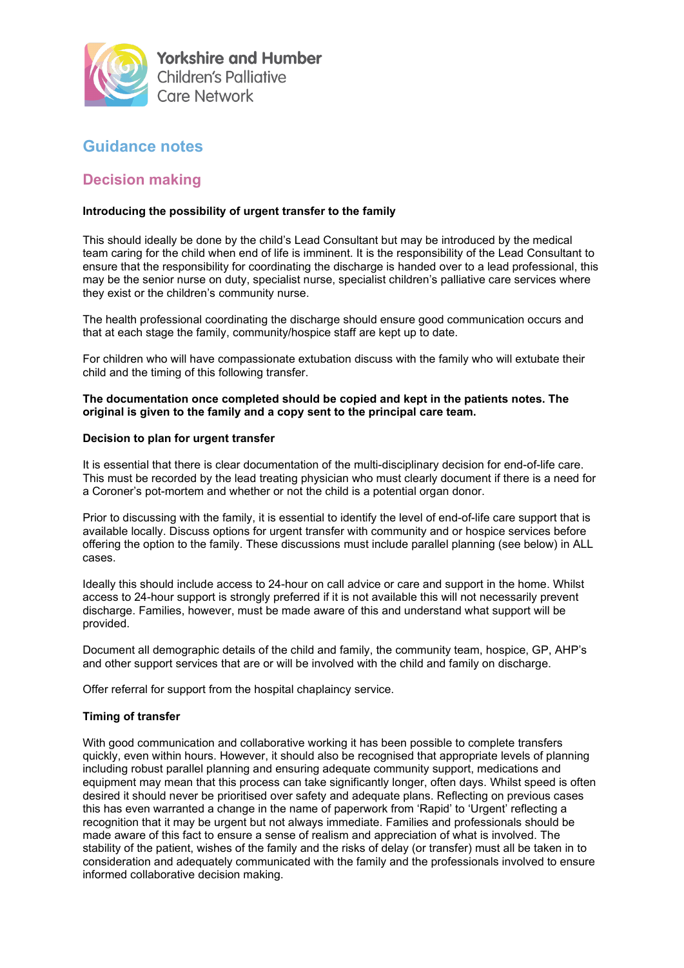

# **Guidance notes**

### **Decision making**

#### **Introducing the possibility of urgent transfer to the family**

This should ideally be done by the child's Lead Consultant but may be introduced by the medical team caring for the child when end of life is imminent. It is the responsibility of the Lead Consultant to ensure that the responsibility for coordinating the discharge is handed over to a lead professional, this may be the senior nurse on duty, specialist nurse, specialist children's palliative care services where they exist or the children's community nurse.

The health professional coordinating the discharge should ensure good communication occurs and that at each stage the family, community/hospice staff are kept up to date.

For children who will have compassionate extubation discuss with the family who will extubate their child and the timing of this following transfer.

**The documentation once completed should be copied and kept in the patients notes. The original is given to the family and a copy sent to the principal care team.** 

#### **Decision to plan for urgent transfer**

It is essential that there is clear documentation of the multi-disciplinary decision for end-of-life care. This must be recorded by the lead treating physician who must clearly document if there is a need for a Coroner's pot-mortem and whether or not the child is a potential organ donor.

Prior to discussing with the family, it is essential to identify the level of end-of-life care support that is available locally. Discuss options for urgent transfer with community and or hospice services before offering the option to the family. These discussions must include parallel planning (see below) in ALL cases.

Ideally this should include access to 24-hour on call advice or care and support in the home. Whilst access to 24-hour support is strongly preferred if it is not available this will not necessarily prevent discharge. Families, however, must be made aware of this and understand what support will be provided.

Document all demographic details of the child and family, the community team, hospice, GP, AHP's and other support services that are or will be involved with the child and family on discharge.

Offer referral for support from the hospital chaplaincy service.

#### **Timing of transfer**

With good communication and collaborative working it has been possible to complete transfers quickly, even within hours. However, it should also be recognised that appropriate levels of planning including robust parallel planning and ensuring adequate community support, medications and equipment may mean that this process can take significantly longer, often days. Whilst speed is often desired it should never be prioritised over safety and adequate plans. Reflecting on previous cases this has even warranted a change in the name of paperwork from 'Rapid' to 'Urgent' reflecting a recognition that it may be urgent but not always immediate. Families and professionals should be made aware of this fact to ensure a sense of realism and appreciation of what is involved. The stability of the patient, wishes of the family and the risks of delay (or transfer) must all be taken in to consideration and adequately communicated with the family and the professionals involved to ensure informed collaborative decision making.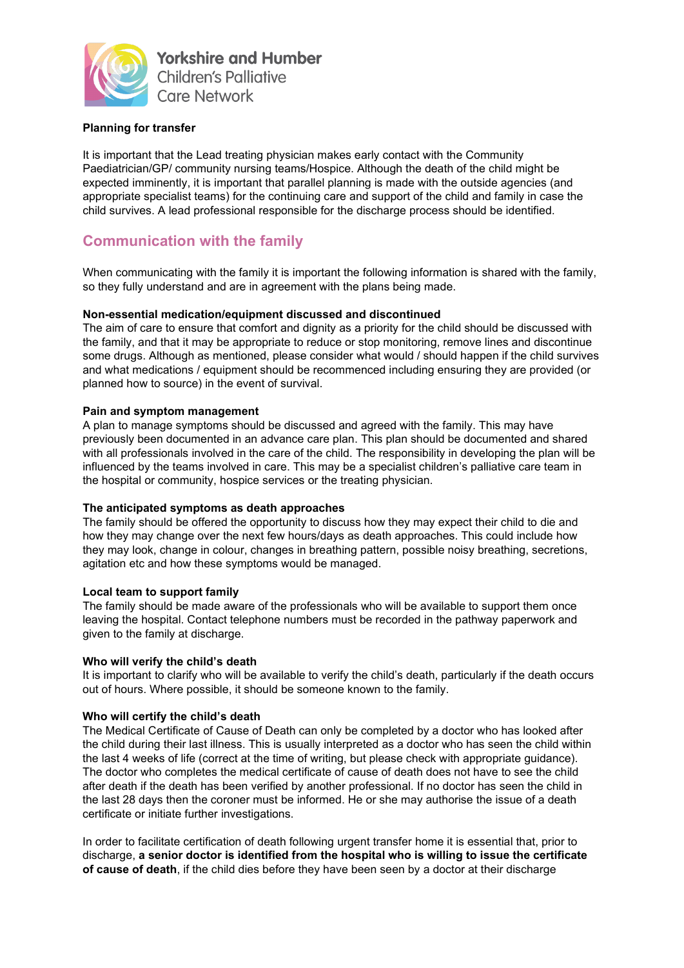

#### **Planning for transfer**

It is important that the Lead treating physician makes early contact with the Community Paediatrician/GP/ community nursing teams/Hospice. Although the death of the child might be expected imminently, it is important that parallel planning is made with the outside agencies (and appropriate specialist teams) for the continuing care and support of the child and family in case the child survives. A lead professional responsible for the discharge process should be identified.

## **Communication with the family**

When communicating with the family it is important the following information is shared with the family, so they fully understand and are in agreement with the plans being made.

#### **Non-essential medication/equipment discussed and discontinued**

The aim of care to ensure that comfort and dignity as a priority for the child should be discussed with the family, and that it may be appropriate to reduce or stop monitoring, remove lines and discontinue some drugs. Although as mentioned, please consider what would / should happen if the child survives and what medications / equipment should be recommenced including ensuring they are provided (or planned how to source) in the event of survival.

#### **Pain and symptom management**

A plan to manage symptoms should be discussed and agreed with the family. This may have previously been documented in an advance care plan. This plan should be documented and shared with all professionals involved in the care of the child. The responsibility in developing the plan will be influenced by the teams involved in care. This may be a specialist children's palliative care team in the hospital or community, hospice services or the treating physician.

#### **The anticipated symptoms as death approaches**

The family should be offered the opportunity to discuss how they may expect their child to die and how they may change over the next few hours/days as death approaches. This could include how they may look, change in colour, changes in breathing pattern, possible noisy breathing, secretions, agitation etc and how these symptoms would be managed.

#### **Local team to support family**

The family should be made aware of the professionals who will be available to support them once leaving the hospital. Contact telephone numbers must be recorded in the pathway paperwork and given to the family at discharge.

#### **Who will verify the child's death**

It is important to clarify who will be available to verify the child's death, particularly if the death occurs out of hours. Where possible, it should be someone known to the family.

#### **Who will certify the child's death**

The Medical Certificate of Cause of Death can only be completed by a doctor who has looked after the child during their last illness. This is usually interpreted as a doctor who has seen the child within the last 4 weeks of life (correct at the time of writing, but please check with appropriate guidance). The doctor who completes the medical certificate of cause of death does not have to see the child after death if the death has been verified by another professional. If no doctor has seen the child in the last 28 days then the coroner must be informed. He or she may authorise the issue of a death certificate or initiate further investigations.

In order to facilitate certification of death following urgent transfer home it is essential that, prior to discharge, **a senior doctor is identified from the hospital who is willing to issue the certificate of cause of death**, if the child dies before they have been seen by a doctor at their discharge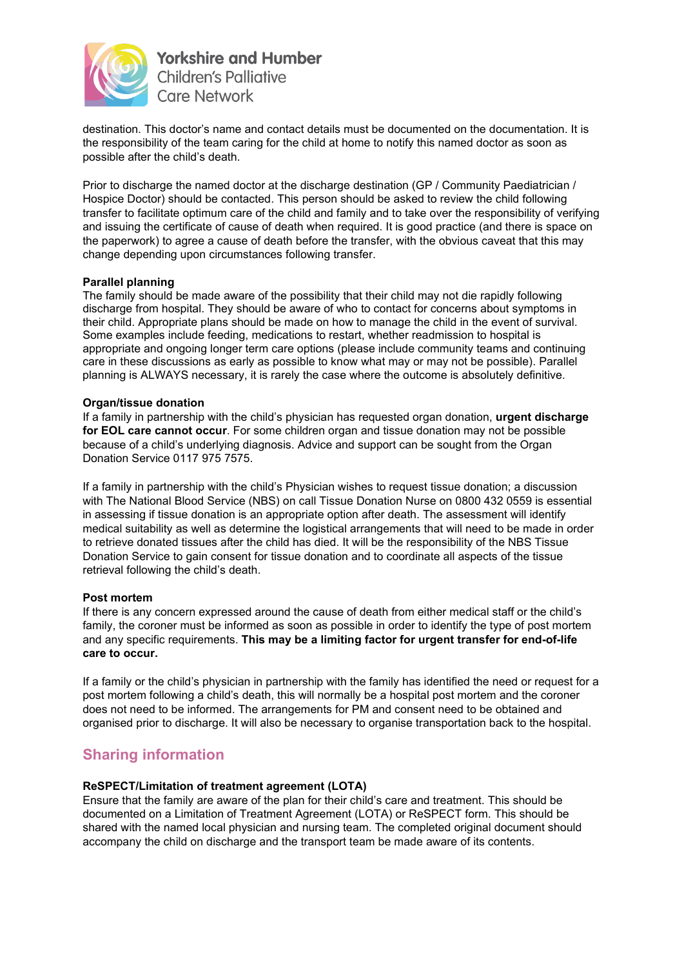

destination. This doctor's name and contact details must be documented on the documentation. It is the responsibility of the team caring for the child at home to notify this named doctor as soon as possible after the child's death.

Prior to discharge the named doctor at the discharge destination (GP / Community Paediatrician / Hospice Doctor) should be contacted. This person should be asked to review the child following transfer to facilitate optimum care of the child and family and to take over the responsibility of verifying and issuing the certificate of cause of death when required. It is good practice (and there is space on the paperwork) to agree a cause of death before the transfer, with the obvious caveat that this may change depending upon circumstances following transfer.

#### **Parallel planning**

The family should be made aware of the possibility that their child may not die rapidly following discharge from hospital. They should be aware of who to contact for concerns about symptoms in their child. Appropriate plans should be made on how to manage the child in the event of survival. Some examples include feeding, medications to restart, whether readmission to hospital is appropriate and ongoing longer term care options (please include community teams and continuing care in these discussions as early as possible to know what may or may not be possible). Parallel planning is ALWAYS necessary, it is rarely the case where the outcome is absolutely definitive.

#### **Organ/tissue donation**

If a family in partnership with the child's physician has requested organ donation, **urgent discharge for EOL care cannot occur**. For some children organ and tissue donation may not be possible because of a child's underlying diagnosis. Advice and support can be sought from the Organ Donation Service 0117 975 7575.

If a family in partnership with the child's Physician wishes to request tissue donation; a discussion with The National Blood Service (NBS) on call Tissue Donation Nurse on 0800 432 0559 is essential in assessing if tissue donation is an appropriate option after death. The assessment will identify medical suitability as well as determine the logistical arrangements that will need to be made in order to retrieve donated tissues after the child has died. It will be the responsibility of the NBS Tissue Donation Service to gain consent for tissue donation and to coordinate all aspects of the tissue retrieval following the child's death.

#### **Post mortem**

If there is any concern expressed around the cause of death from either medical staff or the child's family, the coroner must be informed as soon as possible in order to identify the type of post mortem and any specific requirements. **This may be a limiting factor for urgent transfer for end-of-life care to occur.** 

If a family or the child's physician in partnership with the family has identified the need or request for a post mortem following a child's death, this will normally be a hospital post mortem and the coroner does not need to be informed. The arrangements for PM and consent need to be obtained and organised prior to discharge. It will also be necessary to organise transportation back to the hospital.

### **Sharing information**

#### **ReSPECT/Limitation of treatment agreement (LOTA)**

Ensure that the family are aware of the plan for their child's care and treatment. This should be documented on a Limitation of Treatment Agreement (LOTA) or ReSPECT form. This should be shared with the named local physician and nursing team. The completed original document should accompany the child on discharge and the transport team be made aware of its contents.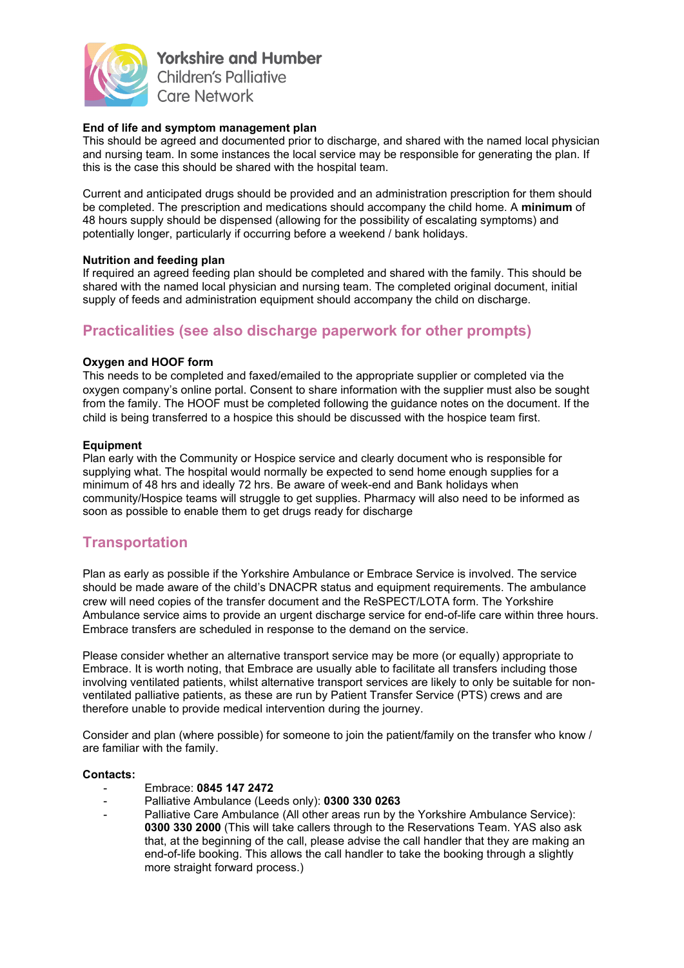

#### **End of life and symptom management plan**

This should be agreed and documented prior to discharge, and shared with the named local physician and nursing team. In some instances the local service may be responsible for generating the plan. If this is the case this should be shared with the hospital team.

Current and anticipated drugs should be provided and an administration prescription for them should be completed. The prescription and medications should accompany the child home. A **minimum** of 48 hours supply should be dispensed (allowing for the possibility of escalating symptoms) and potentially longer, particularly if occurring before a weekend / bank holidays.

#### **Nutrition and feeding plan**

If required an agreed feeding plan should be completed and shared with the family. This should be shared with the named local physician and nursing team. The completed original document, initial supply of feeds and administration equipment should accompany the child on discharge.

## **Practicalities (see also discharge paperwork for other prompts)**

#### **Oxygen and HOOF form**

This needs to be completed and faxed/emailed to the appropriate supplier or completed via the oxygen company's online portal. Consent to share information with the supplier must also be sought from the family. The HOOF must be completed following the guidance notes on the document. If the child is being transferred to a hospice this should be discussed with the hospice team first.

#### **Equipment**

Plan early with the Community or Hospice service and clearly document who is responsible for supplying what. The hospital would normally be expected to send home enough supplies for a minimum of 48 hrs and ideally 72 hrs. Be aware of week-end and Bank holidays when community/Hospice teams will struggle to get supplies. Pharmacy will also need to be informed as soon as possible to enable them to get drugs ready for discharge

### **Transportation**

Plan as early as possible if the Yorkshire Ambulance or Embrace Service is involved. The service should be made aware of the child's DNACPR status and equipment requirements. The ambulance crew will need copies of the transfer document and the ReSPECT/LOTA form. The Yorkshire Ambulance service aims to provide an urgent discharge service for end-of-life care within three hours. Embrace transfers are scheduled in response to the demand on the service.

Please consider whether an alternative transport service may be more (or equally) appropriate to Embrace. It is worth noting, that Embrace are usually able to facilitate all transfers including those involving ventilated patients, whilst alternative transport services are likely to only be suitable for nonventilated palliative patients, as these are run by Patient Transfer Service (PTS) crews and are therefore unable to provide medical intervention during the journey.

Consider and plan (where possible) for someone to join the patient/family on the transfer who know / are familiar with the family.

#### **Contacts:**

- Embrace: **0845 147 2472**
- Palliative Ambulance (Leeds only): **0300 330 0263**
- Palliative Care Ambulance (All other areas run by the Yorkshire Ambulance Service): **0300 330 2000** (This will take callers through to the Reservations Team. YAS also ask that, at the beginning of the call, please advise the call handler that they are making an end-of-life booking. This allows the call handler to take the booking through a slightly more straight forward process.)